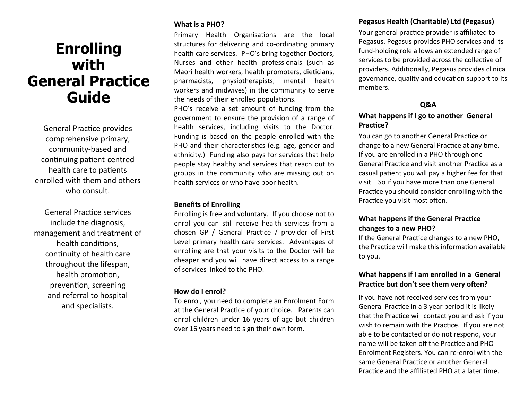# **Enrolling with General Practice Guide**

General Practice provides comprehensive primary, community‐based and continuing patient-centred health care to patients enrolled with them and others who consult.

General PracƟce services include the diagnosis, management and treatment of health conditions, continuity of health care throughout the lifespan, health promotion, prevention, screening and referral to hospital and specialists.

# **What is a PHO?**

Primary Health Organisations are the local structures for delivering and co-ordinating primary health care services. PHO's bring together Doctors, Nurses and other health professionals (such as Maori health workers, health promoters, dieticians, pharmacists, physiotherapists, mental health workers and midwives) in the community to serve the needs of their enrolled populations.

PHO's receive a set amount of funding from the government to ensure the provision of a range of health services, including visits to the Doctor. Funding is based on the people enrolled with the PHO and their characteristics (e.g. age, gender and ethnicity.) Funding also pays for services that help people stay healthy and services that reach out to groups in the community who are missing out on health services or who have poor health.

# **Benefits of Enrolling**

Enrolling is free and voluntary. If you choose not to enrol you can sƟll receive health services from a chosen GP / General Practice / provider of First Level primary health care services. Advantages of enrolling are that your visits to the Doctor will be cheaper and you will have direct access to a range of services linked to the PHO.

## **How do I enrol?**

To enrol, you need to complete an Enrolment Form at the General Practice of your choice. Parents can enrol children under 16 years of age but children over 16 years need to sign their own form.

# **Pegasus Health (Charitable) Ltd (Pegasus)**

Your general practice provider is affiliated to Pegasus. Pegasus provides PHO services and its fund‐holding role allows an extended range of services to be provided across the collective of providers. Additionally, Pegasus provides clinical governance, quality and education support to its members.

# **Q&A**

# **What happens if I go to another General**  Practice?

You can go to another General Practice or change to a new General Practice at any time. If you are enrolled in a PHO through one General Practice and visit another Practice as a casual patient you will pay a higher fee for that visit. So if you have more than one General Practice you should consider enrolling with the Practice you visit most often.

# **What happens if the General Practice changes to a new PHO?**

If the General Practice changes to a new PHO. the Practice will make this information available to you.

# **What happens if I am enrolled in a General**  Practice but don't see them very often?

If you have not received services from your General Practice in a 3 year period it is likely that the Practice will contact you and ask if you wish to remain with the Practice. If you are not able to be contacted or do not respond, your name will be taken off the Practice and PHO Enrolment Registers. You can re‐enrol with the same General Practice or another General Practice and the affiliated PHO at a later time.